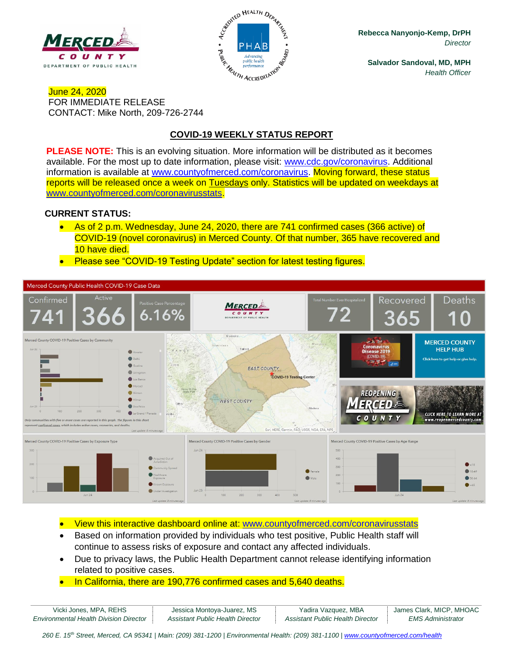



**Rebecca Nanyonjo-Kemp, DrPH** *Director*

**Salvador Sandoval, MD, MPH** *Health Officer*

### June 24, 2020 FOR IMMEDIATE RELEASE CONTACT: Mike North, 209-726-2744

# **COVID-19 WEEKLY STATUS REPORT**

**PLEASE NOTE:** This is an evolving situation. More information will be distributed as it becomes available. For the most up to date information, please visit: [www.cdc.gov/coronavirus.](http://www.cdc.gov/coronavirus) Additional information is available at [www.countyofmerced.com/coronavirus.](http://www.countyofmerced.com/coronavirus) Moving forward, these status reports will be released once a week on Tuesdays only. Statistics will be updated on weekdays at [www.countyofmerced.com/coronavirusstats.](http://www.countyofmerced.com/coronavirusstats)

#### **CURRENT STATUS:**

- As of 2 p.m. Wednesday, June 24, 2020, there are 741 confirmed cases (366 active) of COVID-19 (novel coronavirus) in Merced County. Of that number, 365 have recovered and 10 have died.
- Please see "COVID-19 Testing Update" section for latest testing figures.



• View this interactive dashboard online at: [www.countyofmerced.com/coronavirusstats](http://www.countyofmerced.com/coronavirusstats)

- Based on information provided by individuals who test positive, Public Health staff will continue to assess risks of exposure and contact any affected individuals.
- Due to privacy laws, the Public Health Department cannot release identifying information related to positive cases.
- In California, there are 190,776 confirmed cases and 5,640 deaths.

| Vicki Jones, MPA, REHS                        | Jessica Montoya-Juarez, MS       | Yadira Vazquez, MBA              | James Clark, MICP, MHOAC |
|-----------------------------------------------|----------------------------------|----------------------------------|--------------------------|
| <b>Environmental Health Division Director</b> | Assistant Public Health Director | Assistant Public Health Director | <b>EMS Administrator</b> |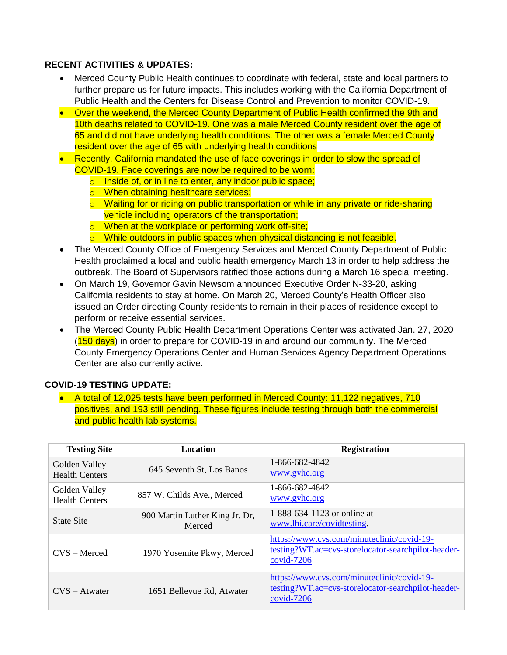### **RECENT ACTIVITIES & UPDATES:**

- Merced County Public Health continues to coordinate with federal, state and local partners to further prepare us for future impacts. This includes working with the California Department of Public Health and the Centers for Disease Control and Prevention to monitor COVID-19.
- Over the weekend, the Merced County Department of Public Health confirmed the 9th and 10th deaths related to COVID-19. One was a male Merced County resident over the age of 65 and did not have underlying health conditions. The other was a female Merced County resident over the age of 65 with underlying health conditions
- Recently, California mandated the use of face coverings in order to slow the spread of COVID-19. Face coverings are now be required to be worn:
	- o Inside of, or in line to enter, any indoor public space;
	- o When obtaining healthcare services;
	- o Waiting for or riding on public transportation or while in any private or ride-sharing vehicle including operators of the transportation;
	- o When at the workplace or performing work off-site;
	- $\circ$  While outdoors in public spaces when physical distancing is not feasible.
- The Merced County Office of Emergency Services and Merced County Department of Public Health proclaimed a local and public health emergency March 13 in order to help address the outbreak. The Board of Supervisors ratified those actions during a March 16 special meeting.
- On March 19, Governor Gavin Newsom announced Executive Order N-33-20, asking California residents to stay at home. On March 20, Merced County's Health Officer also issued an Order directing County residents to remain in their places of residence except to perform or receive essential services.
- The Merced County Public Health Department Operations Center was activated Jan. 27, 2020 (150 days) in order to prepare for COVID-19 in and around our community. The Merced County Emergency Operations Center and Human Services Agency Department Operations Center are also currently active.

## **COVID-19 TESTING UPDATE:**

• A total of 12,025 tests have been performed in Merced County: 11,122 negatives, 710 positives, and 193 still pending. These figures include testing through both the commercial and public health lab systems.

| <b>Testing Site</b>                                                  | Location                                 | <b>Registration</b>                                                                                                               |
|----------------------------------------------------------------------|------------------------------------------|-----------------------------------------------------------------------------------------------------------------------------------|
| Golden Valley<br><b>Health Centers</b>                               | 645 Seventh St, Los Banos                | 1-866-682-4842<br>www.gyhc.org                                                                                                    |
| Golden Valley<br>857 W. Childs Ave., Merced<br><b>Health Centers</b> |                                          | 1-866-682-4842<br>www.gyhc.org                                                                                                    |
| <b>State Site</b>                                                    | 900 Martin Luther King Jr. Dr.<br>Merced | 1-888-634-1123 or online at<br>www.lhi.care/covidtesting.                                                                         |
| $CVS - Merced$                                                       | 1970 Yosemite Pkwy, Merced               | https://www.cvs.com/minuteclinic/covid-19-<br>testing?WT.ac=cvs-storelocator-searchpilot-header-<br>$covid-7206$                  |
| $CVS - Atwater$                                                      | 1651 Bellevue Rd, Atwater                | https://www.cvs.com/minuteclinic/covid-19-<br>testing?WT.ac=cvs-storelocator-searchpilot-header-<br>$\frac{\text{covid-7206}}{2}$ |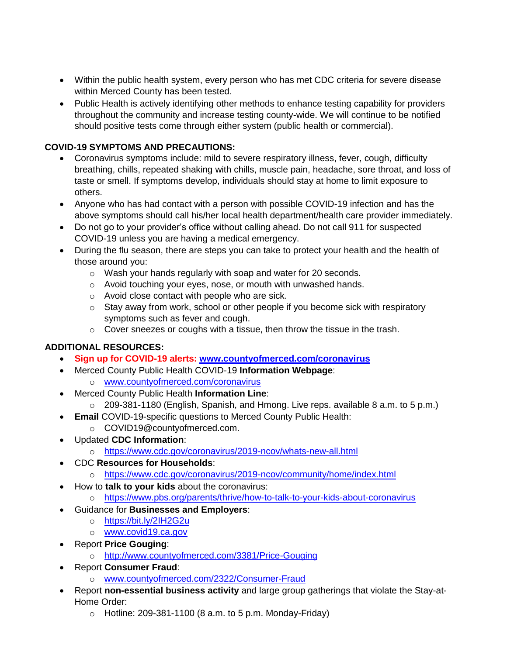- Within the public health system, every person who has met CDC criteria for severe disease within Merced County has been tested.
- Public Health is actively identifying other methods to enhance testing capability for providers throughout the community and increase testing county-wide. We will continue to be notified should positive tests come through either system (public health or commercial).

## **COVID-19 SYMPTOMS AND PRECAUTIONS:**

- Coronavirus symptoms include: mild to severe respiratory illness, fever, cough, difficulty breathing, chills, repeated shaking with chills, muscle pain, headache, sore throat, and loss of taste or smell. If symptoms develop, individuals should stay at home to limit exposure to others.
- Anyone who has had contact with a person with possible COVID-19 infection and has the above symptoms should call his/her local health department/health care provider immediately.
- Do not go to your provider's office without calling ahead. Do not call 911 for suspected COVID-19 unless you are having a medical emergency.
- During the flu season, there are steps you can take to protect your health and the health of those around you:
	- o Wash your hands regularly with soap and water for 20 seconds.
	- o Avoid touching your eyes, nose, or mouth with unwashed hands.
	- o Avoid close contact with people who are sick.
	- $\circ$  Stay away from work, school or other people if you become sick with respiratory symptoms such as fever and cough.
	- $\circ$  Cover sneezes or coughs with a tissue, then throw the tissue in the trash.

## **ADDITIONAL RESOURCES:**

- **Sign up for COVID-19 alerts: [www.countyofmerced.com/coronavirus](http://www.countyofmerced.com/coronavirus)**
- Merced County Public Health COVID-19 **Information Webpage**:
	- o [www.countyofmerced.com/coronavirus](http://www.countyofmerced.com/coronavirus)
- Merced County Public Health **Information Line**:
	- o 209-381-1180 (English, Spanish, and Hmong. Live reps. available 8 a.m. to 5 p.m.)
- **Email COVID-19-specific questions to Merced County Public Health:** 
	- o COVID19@countyofmerced.com.
- Updated **CDC Information**:
	- o <https://www.cdc.gov/coronavirus/2019-ncov/whats-new-all.html>
- CDC **Resources for Households**:
	- o <https://www.cdc.gov/coronavirus/2019-ncov/community/home/index.html>
- How to **talk to your kids** about the coronavirus:
	- o <https://www.pbs.org/parents/thrive/how-to-talk-to-your-kids-about-coronavirus>
- Guidance for **Businesses and Employers**:
	- o <https://bit.ly/2IH2G2u>
	- o [www.covid19.ca.gov](http://www.covid19.ca.gov/)
- Report **Price Gouging**:
	- o <http://www.countyofmerced.com/3381/Price-Gouging>
- Report **Consumer Fraud**:
	- o [www.countyofmerced.com/2322/Consumer-Fraud](http://www.countyofmerced.com/2322/Consumer-Fraud)
- Report **non-essential business activity** and large group gatherings that violate the Stay-at-Home Order:
	- $\circ$  Hotline: 209-381-1100 (8 a.m. to 5 p.m. Monday-Friday)